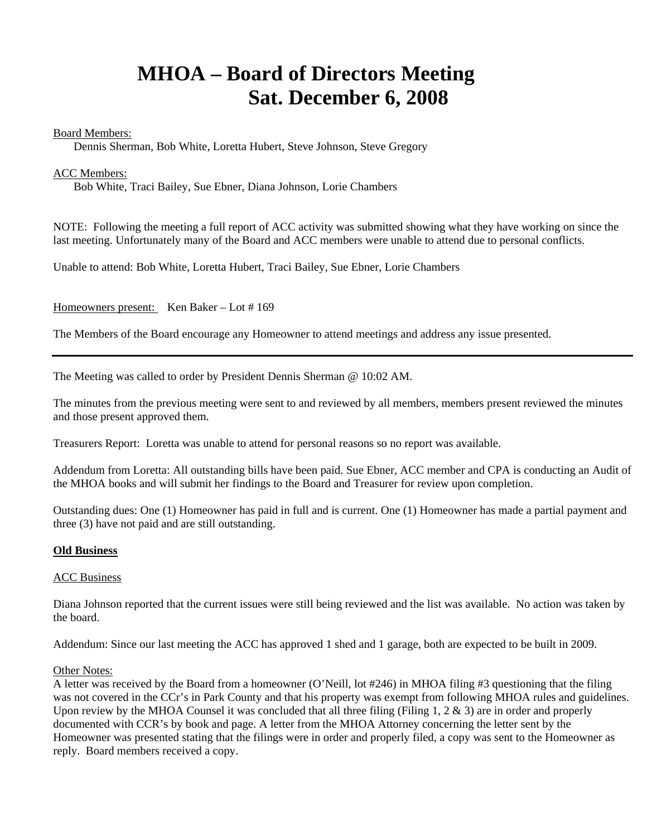# **MHOA – Board of Directors Meeting Sat. December 6, 2008**

# Board Members:

Dennis Sherman, Bob White, Loretta Hubert, Steve Johnson, Steve Gregory

# ACC Members:

Bob White, Traci Bailey, Sue Ebner, Diana Johnson, Lorie Chambers

NOTE: Following the meeting a full report of ACC activity was submitted showing what they have working on since the last meeting. Unfortunately many of the Board and ACC members were unable to attend due to personal conflicts.

Unable to attend: Bob White, Loretta Hubert, Traci Bailey, Sue Ebner, Lorie Chambers

Homeowners present: Ken Baker – Lot # 169

The Members of the Board encourage any Homeowner to attend meetings and address any issue presented.

The Meeting was called to order by President Dennis Sherman @ 10:02 AM.

The minutes from the previous meeting were sent to and reviewed by all members, members present reviewed the minutes and those present approved them.

Treasurers Report: Loretta was unable to attend for personal reasons so no report was available.

Addendum from Loretta: All outstanding bills have been paid. Sue Ebner, ACC member and CPA is conducting an Audit of the MHOA books and will submit her findings to the Board and Treasurer for review upon completion.

Outstanding dues: One (1) Homeowner has paid in full and is current. One (1) Homeowner has made a partial payment and three (3) have not paid and are still outstanding.

# **Old Business**

#### ACC Business

Diana Johnson reported that the current issues were still being reviewed and the list was available. No action was taken by the board.

Addendum: Since our last meeting the ACC has approved 1 shed and 1 garage, both are expected to be built in 2009.

#### Other Notes:

A letter was received by the Board from a homeowner (O'Neill, lot #246) in MHOA filing #3 questioning that the filing was not covered in the CCr's in Park County and that his property was exempt from following MHOA rules and guidelines. Upon review by the MHOA Counsel it was concluded that all three filing (Filing 1,  $2 \& 3$ ) are in order and properly documented with CCR's by book and page. A letter from the MHOA Attorney concerning the letter sent by the Homeowner was presented stating that the filings were in order and properly filed, a copy was sent to the Homeowner as reply. Board members received a copy.